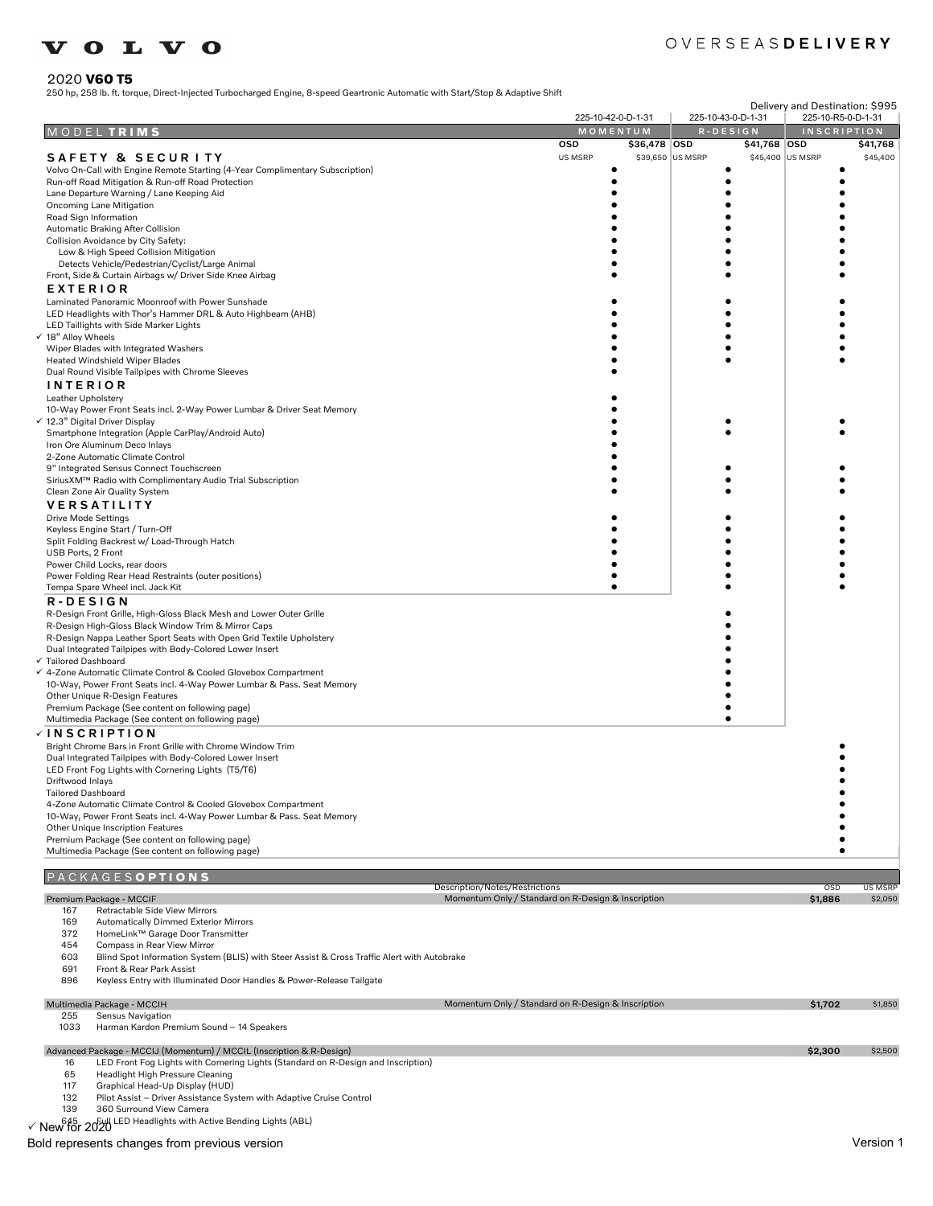# **VOLVO**

## OVERSEASDELIVERY

2020 **V60 T5** 250 hp, 258 lb. ft. torque, Direct-Injected Turbocharged Engine, 8-speed Geartronic Automatic with Start/Stop & Adaptive Shift

|             |                                                                                                                            |                                                                                      | 225-10-42-0-D-1-31 |                  | 225-10-43-0-D-1-31 |                  | Delivery and Destination: \$995<br>225-10-R5-0-D-1-31 |                           |
|-------------|----------------------------------------------------------------------------------------------------------------------------|--------------------------------------------------------------------------------------|--------------------|------------------|--------------------|------------------|-------------------------------------------------------|---------------------------|
|             | MODEL TRIMS                                                                                                                |                                                                                      | MOMENTUM           |                  | R-DESIGN           |                  | <b>INSCRIPTION</b>                                    |                           |
|             |                                                                                                                            | OSD                                                                                  |                    | \$36,478 OSD     |                    | \$41,768 OSD     |                                                       | \$41,768                  |
|             | SAFETY & SECURITY                                                                                                          | US MSRP                                                                              |                    | \$39,650 US MSRP |                    | \$45,400 US MSRP |                                                       | \$45,400                  |
|             | Volvo On-Call with Engine Remote Starting (4-Year Complimentary Subscription)                                              |                                                                                      |                    |                  |                    |                  |                                                       |                           |
|             | Run-off Road Mitigation & Run-off Road Protection<br>Lane Departure Warning / Lane Keeping Aid                             |                                                                                      |                    |                  | ٠                  |                  |                                                       |                           |
|             | Oncoming Lane Mitigation                                                                                                   |                                                                                      |                    |                  |                    |                  |                                                       |                           |
|             | Road Sign Information                                                                                                      |                                                                                      |                    |                  |                    |                  |                                                       |                           |
|             | Automatic Braking After Collision                                                                                          |                                                                                      |                    |                  |                    |                  |                                                       |                           |
|             | Collision Avoidance by City Safety:<br>Low & High Speed Collision Mitigation                                               |                                                                                      |                    |                  |                    |                  |                                                       |                           |
|             | Detects Vehicle/Pedestrian/Cyclist/Large Animal                                                                            |                                                                                      |                    |                  |                    |                  |                                                       |                           |
|             | Front, Side & Curtain Airbags w/ Driver Side Knee Airbag                                                                   |                                                                                      |                    |                  |                    |                  |                                                       |                           |
|             | <b>EXTERIOR</b>                                                                                                            |                                                                                      |                    |                  |                    |                  |                                                       |                           |
|             | Laminated Panoramic Moonroof with Power Sunshade                                                                           |                                                                                      |                    |                  |                    |                  |                                                       |                           |
|             | LED Headlights with Thor's Hammer DRL & Auto Highbeam (AHB)                                                                |                                                                                      |                    |                  |                    |                  |                                                       |                           |
|             | LED Taillights with Side Marker Lights<br>√ 18" Alloy Wheels                                                               |                                                                                      |                    |                  |                    |                  |                                                       |                           |
|             | Wiper Blades with Integrated Washers                                                                                       |                                                                                      |                    |                  |                    |                  |                                                       |                           |
|             | Heated Windshield Wiper Blades                                                                                             |                                                                                      |                    |                  |                    |                  |                                                       |                           |
|             | Dual Round Visible Tailpipes with Chrome Sleeves                                                                           |                                                                                      |                    |                  |                    |                  |                                                       |                           |
|             | <b>INTERIOR</b>                                                                                                            |                                                                                      |                    |                  |                    |                  |                                                       |                           |
|             | Leather Upholstery<br>10-Way Power Front Seats incl. 2-Way Power Lumbar & Driver Seat Memory                               |                                                                                      |                    |                  |                    |                  |                                                       |                           |
|             | √ 12.3" Digital Driver Display                                                                                             |                                                                                      |                    |                  |                    |                  |                                                       |                           |
|             | Smartphone Integration (Apple CarPlay/Android Auto)                                                                        |                                                                                      |                    |                  |                    |                  |                                                       |                           |
|             | Iron Ore Aluminum Deco Inlays                                                                                              |                                                                                      |                    |                  |                    |                  |                                                       |                           |
|             | 2-Zone Automatic Climate Control<br>9" Integrated Sensus Connect Touchscreen                                               |                                                                                      |                    |                  |                    |                  |                                                       |                           |
|             | SiriusXM™ Radio with Complimentary Audio Trial Subscription                                                                |                                                                                      |                    |                  |                    |                  |                                                       |                           |
|             | Clean Zone Air Quality System                                                                                              |                                                                                      |                    |                  |                    |                  |                                                       |                           |
|             | <b>VERSATILITY</b>                                                                                                         |                                                                                      |                    |                  |                    |                  |                                                       |                           |
|             | <b>Drive Mode Settings</b>                                                                                                 |                                                                                      |                    |                  |                    |                  |                                                       |                           |
|             | Keyless Engine Start / Turn-Off                                                                                            |                                                                                      |                    |                  |                    |                  |                                                       |                           |
|             | Split Folding Backrest w/ Load-Through Hatch<br>USB Ports, 2 Front                                                         |                                                                                      |                    |                  |                    |                  |                                                       |                           |
|             | Power Child Locks, rear doors                                                                                              |                                                                                      |                    |                  |                    |                  |                                                       |                           |
|             | Power Folding Rear Head Restraints (outer positions)                                                                       |                                                                                      |                    |                  |                    |                  |                                                       |                           |
|             | Tempa Spare Wheel incl. Jack Kit                                                                                           |                                                                                      |                    |                  |                    |                  |                                                       |                           |
|             | R-DESIGN                                                                                                                   |                                                                                      |                    |                  |                    |                  |                                                       |                           |
|             | R-Design Front Grille, High-Gloss Black Mesh and Lower Outer Grille<br>R-Design High-Gloss Black Window Trim & Mirror Caps |                                                                                      |                    |                  |                    |                  |                                                       |                           |
|             | R-Design Nappa Leather Sport Seats with Open Grid Textile Upholstery                                                       |                                                                                      |                    |                  |                    |                  |                                                       |                           |
|             | Dual Integrated Tailpipes with Body-Colored Lower Insert                                                                   |                                                                                      |                    |                  |                    |                  |                                                       |                           |
|             | √ Tailored Dashboard                                                                                                       |                                                                                      |                    |                  |                    |                  |                                                       |                           |
|             | √ 4-Zone Automatic Climate Control & Cooled Glovebox Compartment                                                           |                                                                                      |                    |                  |                    |                  |                                                       |                           |
|             | 10-Way, Power Front Seats incl. 4-Way Power Lumbar & Pass. Seat Memory<br>Other Unique R-Design Features                   |                                                                                      |                    |                  |                    |                  |                                                       |                           |
|             | Premium Package (See content on following page)                                                                            |                                                                                      |                    |                  |                    |                  |                                                       |                           |
|             | Multimedia Package (See content on following page)                                                                         |                                                                                      |                    |                  |                    |                  |                                                       |                           |
|             | <b>√INSCRIPTION</b>                                                                                                        |                                                                                      |                    |                  |                    |                  |                                                       |                           |
|             | Bright Chrome Bars in Front Grille with Chrome Window Trim                                                                 |                                                                                      |                    |                  |                    |                  |                                                       |                           |
|             | Dual Integrated Tailpipes with Body-Colored Lower Insert                                                                   |                                                                                      |                    |                  |                    |                  |                                                       |                           |
|             | LED Front Fog Lights with Cornering Lights (T5/T6)<br>Driftwood Inlays                                                     |                                                                                      |                    |                  |                    |                  |                                                       |                           |
|             | <b>Tailored Dashboard</b>                                                                                                  |                                                                                      |                    |                  |                    |                  |                                                       |                           |
|             | 4-Zone Automatic Climate Control & Cooled Glovebox Compartment                                                             |                                                                                      |                    |                  |                    |                  |                                                       |                           |
|             | 10-Way, Power Front Seats incl. 4-Way Power Lumbar & Pass. Seat Memory                                                     |                                                                                      |                    |                  |                    |                  |                                                       |                           |
|             | Other Unique Inscription Features<br>Premium Package (See content on following page)                                       |                                                                                      |                    |                  |                    |                  | ٠                                                     |                           |
|             | Multimedia Package (See content on following page)                                                                         |                                                                                      |                    |                  |                    |                  | ٠                                                     |                           |
|             |                                                                                                                            |                                                                                      |                    |                  |                    |                  |                                                       |                           |
|             | <b>PACKAGESOPTIONS</b>                                                                                                     |                                                                                      |                    |                  |                    |                  |                                                       |                           |
|             | Premium Package - MCCIF                                                                                                    | Description/Notes/Restrictions<br>Momentum Only / Standard on R-Design & Inscription |                    |                  |                    |                  | OSD<br>\$1,886                                        | <b>US MSRP</b><br>\$2,050 |
| 167         | Retractable Side View Mirrors                                                                                              |                                                                                      |                    |                  |                    |                  |                                                       |                           |
| 169         | <b>Automatically Dimmed Exterior Mirrors</b>                                                                               |                                                                                      |                    |                  |                    |                  |                                                       |                           |
| 372         | HomeLink™ Garage Door Transmitter                                                                                          |                                                                                      |                    |                  |                    |                  |                                                       |                           |
| 454<br>603  | Compass in Rear View Mirror<br>Blind Spot Information System (BLIS) with Steer Assist & Cross Traffic Alert with Autobrake |                                                                                      |                    |                  |                    |                  |                                                       |                           |
| 691         | Front & Rear Park Assist                                                                                                   |                                                                                      |                    |                  |                    |                  |                                                       |                           |
| 896         | Keyless Entry with Illuminated Door Handles & Power-Release Tailgate                                                       |                                                                                      |                    |                  |                    |                  |                                                       |                           |
|             |                                                                                                                            |                                                                                      |                    |                  |                    |                  |                                                       |                           |
|             | Multimedia Package - MCCIH                                                                                                 | Momentum Only / Standard on R-Design & Inscription                                   |                    |                  |                    |                  | \$1,702                                               | \$1,850                   |
| 255<br>1033 | <b>Sensus Navigation</b><br>Harman Kardon Premium Sound - 14 Speakers                                                      |                                                                                      |                    |                  |                    |                  |                                                       |                           |
|             |                                                                                                                            |                                                                                      |                    |                  |                    |                  |                                                       |                           |
|             | Advanced Package - MCCIJ (Momentum) / MCCIL (Inscription & R-Design)                                                       |                                                                                      |                    |                  |                    |                  | \$2,300                                               | \$2,500                   |
| 16          | LED Front Fog Lights with Cornering Lights (Standard on R-Design and Inscription)                                          |                                                                                      |                    |                  |                    |                  |                                                       |                           |
| 65<br>117   | Headlight High Pressure Cleaning<br>Graphical Head-Up Display (HUD)                                                        |                                                                                      |                    |                  |                    |                  |                                                       |                           |
| 132         | Pilot Assist - Driver Assistance System with Adaptive Cruise Control                                                       |                                                                                      |                    |                  |                    |                  |                                                       |                           |
| 139         | 360 Surround View Camera                                                                                                   |                                                                                      |                    |                  |                    |                  |                                                       |                           |
|             | √ New for 2020 LED Headlights with Active Bending Lights (ABL)                                                             |                                                                                      |                    |                  |                    |                  |                                                       |                           |
|             | Bold represents changes from previous version                                                                              |                                                                                      |                    |                  |                    |                  |                                                       | Version 1                 |
|             |                                                                                                                            |                                                                                      |                    |                  |                    |                  |                                                       |                           |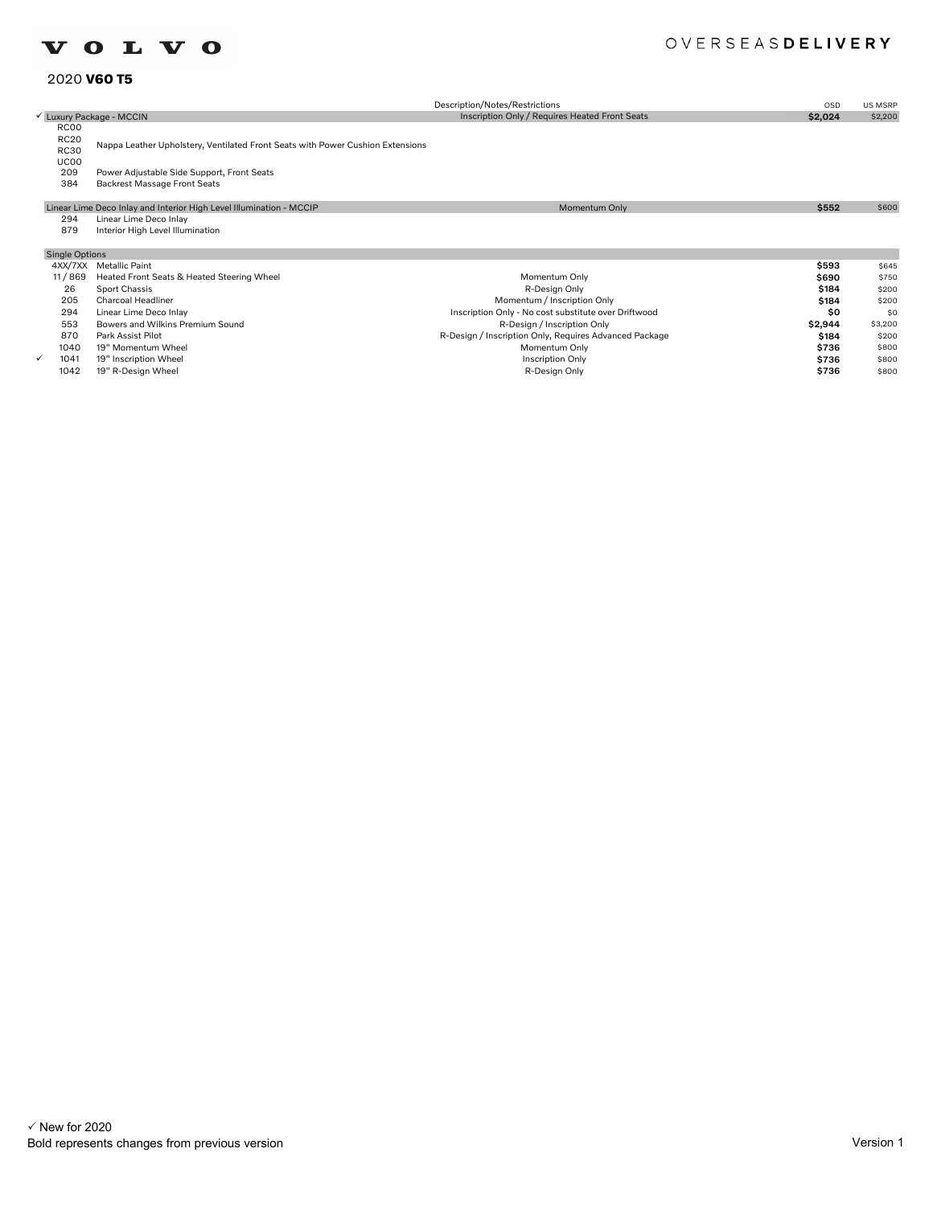## **VOLVO**

## OVERSEASDELIVERY

### 2020 **V60 T5**

|                                            |                                                                                   | Description/Notes/Restrictions                         | <b>OSD</b> | US MSRP |
|--------------------------------------------|-----------------------------------------------------------------------------------|--------------------------------------------------------|------------|---------|
|                                            | └ Luxury Package - MCCIN                                                          | Inscription Only / Requires Heated Front Seats         | \$2,024    | \$2,200 |
| RC00<br><b>RC20</b><br><b>RC30</b><br>UC00 | Nappa Leather Upholstery, Ventilated Front Seats with Power Cushion Extensions    |                                                        |            |         |
| 209<br>384                                 | Power Adjustable Side Support, Front Seats<br><b>Backrest Massage Front Seats</b> |                                                        |            |         |
|                                            | Linear Lime Deco Inlay and Interior High Level Illumination - MCCIP               | Momentum Only                                          | \$552      | \$600   |
| 294<br>879                                 | Linear Lime Deco Inlay<br>Interior High Level Illumination                        |                                                        |            |         |
| <b>Single Options</b>                      |                                                                                   |                                                        |            |         |
|                                            | 4XX/7XX Metallic Paint                                                            |                                                        | \$593      | \$645   |
| 11/869                                     | Heated Front Seats & Heated Steering Wheel                                        | Momentum Only                                          | \$690      | \$750   |
| 26                                         | Sport Chassis                                                                     | R-Design Only                                          | \$184      | \$200   |
| 205                                        | <b>Charcoal Headliner</b>                                                         | Momentum / Inscription Only                            | \$184      | \$200   |
| 294                                        | Linear Lime Deco Inlay                                                            | Inscription Only - No cost substitute over Driftwood   | \$0        | \$0     |
| 553                                        | Bowers and Wilkins Premium Sound                                                  | R-Design / Inscription Only                            | \$2,944    | \$3,200 |
| 870                                        | Park Assist Pilot                                                                 | R-Design / Inscription Only, Requires Advanced Package | \$184      | \$200   |

- 
- 
- 
- 1040 19" Momentum Wheel \$800<br>The second of the second of the second of the second of the second of the second of the second of the second o<br>The second of the second of the second of the second of the second of the se 1041 19" Inscription Wheel seconds and the second of the second of the second of the second of the second of the second of the second of the seconds of the seconds of the seconds of the seconds of the seconds of the secon R-Design / Inscription Only, Requires Advanced Package Momentum Only Inscription Only R-Design Only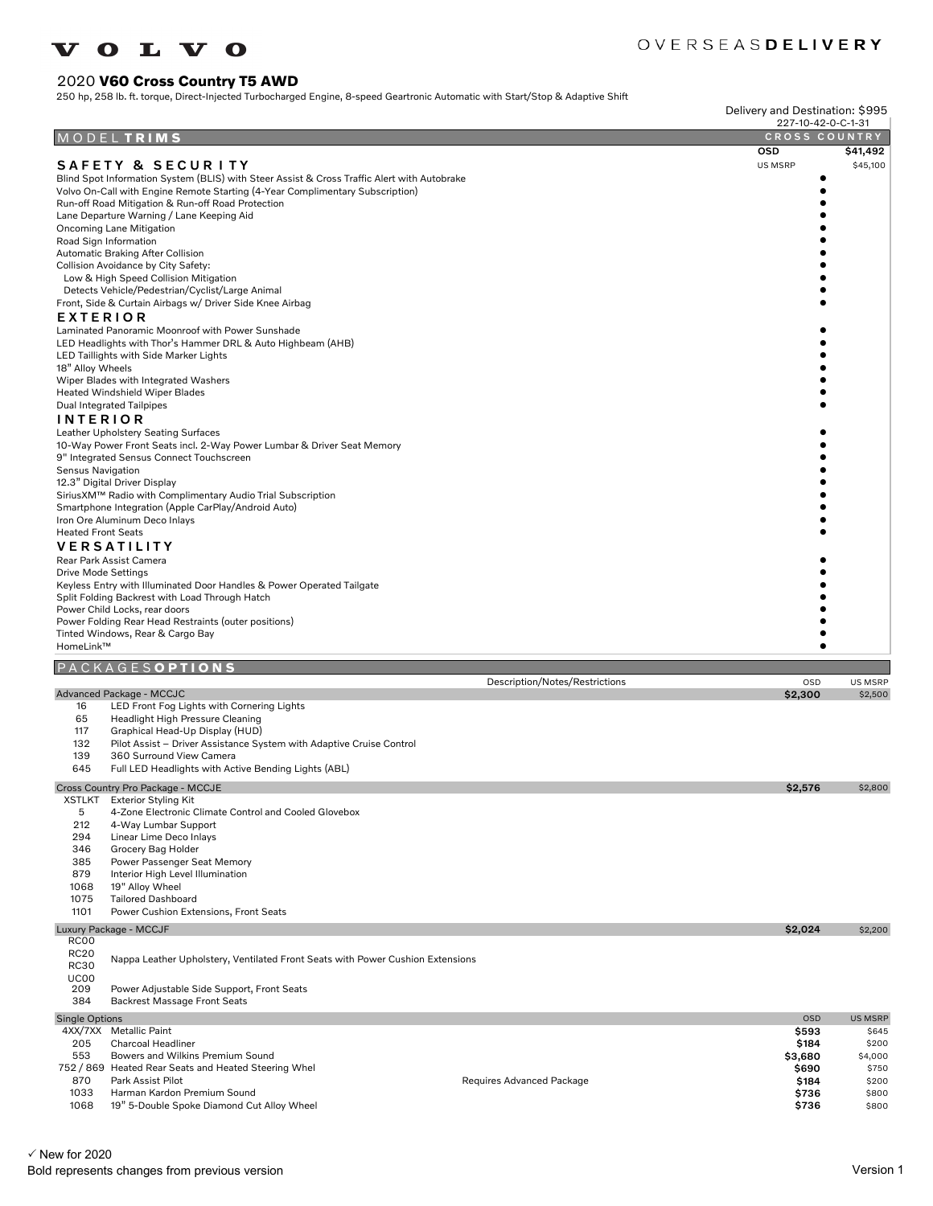#### O L V O **TT**

## OVERSEASDELIVERY

#### 2020 **V60 Cross Country T5 AWD**

250 hp, 258 lb. ft. torque, Direct-Injected Turbocharged Engine, 8-speed Geartronic Automatic with Start/Stop & Adaptive Shift

Delivery and Destination: \$995

|                            |                                                                                                                                    |                                | 227-10-42-0-C-1-31   |                |
|----------------------------|------------------------------------------------------------------------------------------------------------------------------------|--------------------------------|----------------------|----------------|
| MODEL                      | <b>TRIMS</b>                                                                                                                       |                                | <b>CROSS COUNTRY</b> |                |
|                            |                                                                                                                                    |                                | <b>OSD</b>           | \$41,492       |
|                            | SAFETY & SECURITY                                                                                                                  |                                | US MSRP              | \$45,100       |
|                            | Blind Spot Information System (BLIS) with Steer Assist & Cross Traffic Alert with Autobrake                                        |                                |                      |                |
|                            | Volvo On-Call with Engine Remote Starting (4-Year Complimentary Subscription)<br>Run-off Road Mitigation & Run-off Road Protection |                                |                      |                |
|                            | Lane Departure Warning / Lane Keeping Aid                                                                                          |                                |                      |                |
|                            | Oncoming Lane Mitigation                                                                                                           |                                |                      |                |
| Road Sign Information      |                                                                                                                                    |                                |                      |                |
|                            | Automatic Braking After Collision                                                                                                  |                                |                      |                |
|                            | Collision Avoidance by City Safety:<br>Low & High Speed Collision Mitigation                                                       |                                |                      |                |
|                            | Detects Vehicle/Pedestrian/Cyclist/Large Animal                                                                                    |                                |                      |                |
|                            | Front, Side & Curtain Airbags w/ Driver Side Knee Airbag                                                                           |                                |                      |                |
| EXTERIOR                   |                                                                                                                                    |                                |                      |                |
|                            | Laminated Panoramic Moonroof with Power Sunshade                                                                                   |                                |                      |                |
|                            | LED Headlights with Thor's Hammer DRL & Auto Highbeam (AHB)                                                                        |                                |                      |                |
|                            | LED Taillights with Side Marker Lights                                                                                             |                                |                      |                |
| 18" Alloy Wheels           |                                                                                                                                    |                                |                      |                |
|                            | Wiper Blades with Integrated Washers<br>Heated Windshield Wiper Blades                                                             |                                |                      |                |
|                            | Dual Integrated Tailpipes                                                                                                          |                                |                      |                |
| <b>INTERIOR</b>            |                                                                                                                                    |                                |                      |                |
|                            | Leather Upholstery Seating Surfaces                                                                                                |                                |                      |                |
|                            | 10-Way Power Front Seats incl. 2-Way Power Lumbar & Driver Seat Memory                                                             |                                |                      |                |
|                            | 9" Integrated Sensus Connect Touchscreen                                                                                           |                                |                      |                |
| <b>Sensus Navigation</b>   |                                                                                                                                    |                                |                      |                |
|                            | 12.3" Digital Driver Display                                                                                                       |                                |                      |                |
|                            | SiriusXM™ Radio with Complimentary Audio Trial Subscription<br>Smartphone Integration (Apple CarPlay/Android Auto)                 |                                |                      |                |
|                            | Iron Ore Aluminum Deco Inlays                                                                                                      |                                |                      |                |
| <b>Heated Front Seats</b>  |                                                                                                                                    |                                |                      |                |
|                            | <b>VERSATILITY</b>                                                                                                                 |                                |                      |                |
|                            | Rear Park Assist Camera                                                                                                            |                                |                      |                |
| <b>Drive Mode Settings</b> |                                                                                                                                    |                                |                      |                |
|                            | Keyless Entry with Illuminated Door Handles & Power Operated Tailgate                                                              |                                |                      |                |
|                            | Split Folding Backrest with Load Through Hatch                                                                                     |                                |                      |                |
|                            | Power Child Locks, rear doors                                                                                                      |                                |                      |                |
|                            | Power Folding Rear Head Restraints (outer positions)<br>Tinted Windows, Rear & Cargo Bay                                           |                                |                      |                |
| HomeLink™                  |                                                                                                                                    |                                |                      |                |
|                            |                                                                                                                                    |                                |                      |                |
|                            | KAGESOPTIONS                                                                                                                       | Description/Notes/Restrictions | OSD                  | <b>US MSRP</b> |
|                            | Advanced Package - MCCJC                                                                                                           |                                | \$2,300              | \$2,500        |
| 16                         | LED Front Fog Lights with Cornering Lights                                                                                         |                                |                      |                |
| 65                         | Headlight High Pressure Cleaning                                                                                                   |                                |                      |                |
| 117                        | Graphical Head-Up Display (HUD)                                                                                                    |                                |                      |                |
| 132                        | Pilot Assist - Driver Assistance System with Adaptive Cruise Control                                                               |                                |                      |                |
| 139<br>645                 | 360 Surround View Camera<br>Full LED Headlights with Active Bending Lights (ABL)                                                   |                                |                      |                |
|                            |                                                                                                                                    |                                |                      |                |
|                            | Cross Country Pro Package - MCCJE                                                                                                  |                                | \$2,576              | \$2,800        |
| 5                          | XSTLKT Exterior Styling Kit<br>4-Zone Electronic Climate Control and Cooled Glovebox                                               |                                |                      |                |
| 212                        | 4-Way Lumbar Support                                                                                                               |                                |                      |                |
| 294                        | Linear Lime Deco Inlays                                                                                                            |                                |                      |                |
| 346                        | Grocery Bag Holder                                                                                                                 |                                |                      |                |
| 385                        | Power Passenger Seat Memory                                                                                                        |                                |                      |                |
| 879                        | Interior High Level Illumination                                                                                                   |                                |                      |                |
| 1068                       | 19" Alloy Wheel                                                                                                                    |                                |                      |                |
| 1075                       | <b>Tailored Dashboard</b>                                                                                                          |                                |                      |                |
| 1101                       | Power Cushion Extensions, Front Seats                                                                                              |                                |                      |                |
|                            | Luxury Package - MCCJF                                                                                                             |                                | \$2,024              | \$2,200        |
| RC00<br><b>RC20</b>        |                                                                                                                                    |                                |                      |                |
| <b>RC30</b>                | Nappa Leather Upholstery, Ventilated Front Seats with Power Cushion Extensions                                                     |                                |                      |                |
| UC00                       |                                                                                                                                    |                                |                      |                |
| 209                        | Power Adjustable Side Support, Front Seats                                                                                         |                                |                      |                |
| 384                        | Backrest Massage Front Seats                                                                                                       |                                |                      |                |
| <b>Single Options</b>      |                                                                                                                                    |                                | <b>OSD</b>           | <b>US MSRP</b> |
|                            | 4XX/7XX Metallic Paint                                                                                                             |                                | \$593                | \$645          |
| 205                        | Charcoal Headliner                                                                                                                 |                                | \$184                | \$200          |
| 553                        | Bowers and Wilkins Premium Sound                                                                                                   |                                | \$3,680              | \$4,000        |
| 870                        | 752 / 869 Heated Rear Seats and Heated Steering Whel<br>Park Assist Pilot                                                          |                                | \$690                | \$750<br>\$200 |
| 1033                       |                                                                                                                                    | Requires Advanced Package      | \$184                |                |
|                            |                                                                                                                                    |                                |                      |                |
| 1068                       | Harman Kardon Premium Sound<br>19" 5-Double Spoke Diamond Cut Alloy Wheel                                                          |                                | \$736<br>\$736       | \$800<br>\$800 |